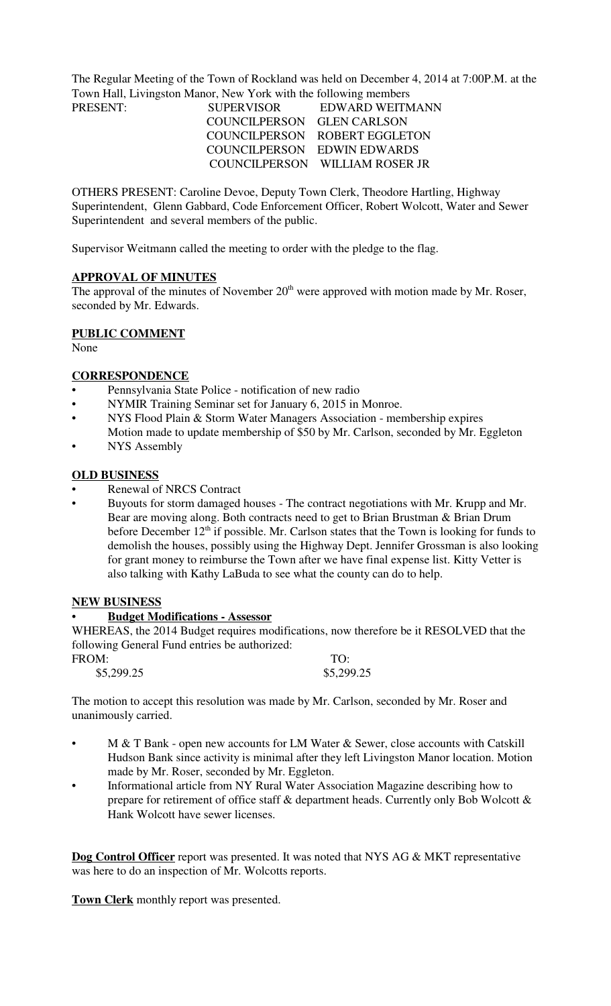The Regular Meeting of the Town of Rockland was held on December 4, 2014 at 7:00P.M. at the Town Hall, Livingston Manor, New York with the following members

| PRESENT: | <b>SUPERVISOR</b>          | EDWARD WEITMANN                |
|----------|----------------------------|--------------------------------|
|          | COUNCILPERSON GLEN CARLSON |                                |
|          |                            | COUNCILPERSON ROBERT EGGLETON  |
|          |                            | COUNCILPERSON EDWIN EDWARDS    |
|          |                            | COUNCILPERSON WILLIAM ROSER JR |

OTHERS PRESENT: Caroline Devoe, Deputy Town Clerk, Theodore Hartling, Highway Superintendent, Glenn Gabbard, Code Enforcement Officer, Robert Wolcott, Water and Sewer Superintendent and several members of the public.

Supervisor Weitmann called the meeting to order with the pledge to the flag.

#### **APPROVAL OF MINUTES**

The approval of the minutes of November  $20<sup>th</sup>$  were approved with motion made by Mr. Roser, seconded by Mr. Edwards.

# **PUBLIC COMMENT**

None

#### **CORRESPONDENCE**

- Pennsylvania State Police notification of new radio
- NYMIR Training Seminar set for January 6, 2015 in Monroe.
- NYS Flood Plain & Storm Water Managers Association membership expires Motion made to update membership of \$50 by Mr. Carlson, seconded by Mr. Eggleton
- **NYS** Assembly

#### **OLD BUSINESS**

- Renewal of NRCS Contract
- Buyouts for storm damaged houses The contract negotiations with Mr. Krupp and Mr. Bear are moving along. Both contracts need to get to Brian Brustman & Brian Drum before December  $12<sup>th</sup>$  if possible. Mr. Carlson states that the Town is looking for funds to demolish the houses, possibly using the Highway Dept. Jennifer Grossman is also looking for grant money to reimburse the Town after we have final expense list. Kitty Vetter is also talking with Kathy LaBuda to see what the county can do to help.

#### **NEW BUSINESS**

#### • **Budget Modifications - Assessor**

WHEREAS, the 2014 Budget requires modifications, now therefore be it RESOLVED that the following General Fund entries be authorized:

| FROM:      | TO:        |
|------------|------------|
| \$5,299.25 | \$5,299.25 |

The motion to accept this resolution was made by Mr. Carlson, seconded by Mr. Roser and unanimously carried.

- M & T Bank open new accounts for LM Water & Sewer, close accounts with Catskill Hudson Bank since activity is minimal after they left Livingston Manor location. Motion made by Mr. Roser, seconded by Mr. Eggleton.
- Informational article from NY Rural Water Association Magazine describing how to prepare for retirement of office staff & department heads. Currently only Bob Wolcott & Hank Wolcott have sewer licenses.

**Dog Control Officer** report was presented. It was noted that NYS AG & MKT representative was here to do an inspection of Mr. Wolcotts reports.

**Town Clerk** monthly report was presented.